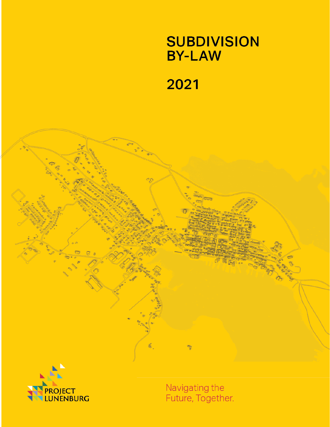## **SUBDIVISION BY-LAW**

# 2021

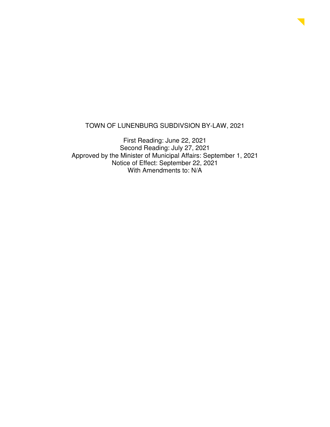#### TOWN OF LUNENBURG SUBDIVSION BY-LAW, 2021

First Reading: June 22, 2021 Second Reading: July 27, 2021 Approved by the Minister of Municipal Affairs: September 1, 2021 Notice of Effect: September 22, 2021 With Amendments to: N/A

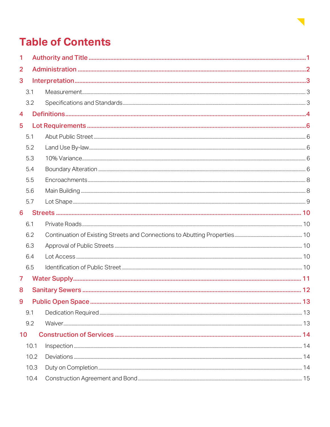

## **Table of Contents**

| 1              |      |  |  |
|----------------|------|--|--|
| $\overline{2}$ |      |  |  |
| 3              |      |  |  |
|                | 3.1  |  |  |
|                | 3.2  |  |  |
| 4              |      |  |  |
| 5              |      |  |  |
|                | 5.1  |  |  |
|                | 5.2  |  |  |
|                | 5.3  |  |  |
|                | 5.4  |  |  |
|                | 5.5  |  |  |
|                | 5.6  |  |  |
|                | 5.7  |  |  |
| 6              |      |  |  |
|                | 6.1  |  |  |
|                | 6.2  |  |  |
|                | 6.3  |  |  |
|                | 6.4  |  |  |
|                | 6.5  |  |  |
| 7              |      |  |  |
| 8              |      |  |  |
| 9              |      |  |  |
|                | 9.1  |  |  |
|                | 9.2  |  |  |
| 10             |      |  |  |
|                | 10.1 |  |  |
|                | 10.2 |  |  |
|                | 10.3 |  |  |
|                | 10.4 |  |  |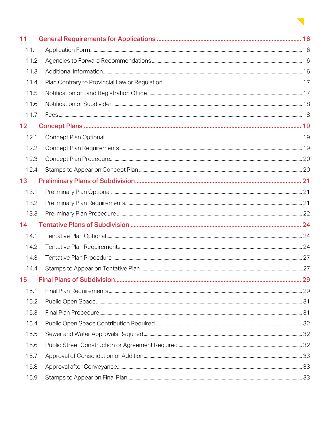

| 11              |  |
|-----------------|--|
| 11.1            |  |
| 11.2            |  |
| 11.3            |  |
| 11.4            |  |
| 11.5            |  |
| 11.6            |  |
| 11.7            |  |
| 12 <sub>2</sub> |  |
| 12.1            |  |
| 12.2            |  |
| 12.3            |  |
| 12.4            |  |
| 13              |  |
| 13.1            |  |
| 13.2            |  |
| 13.3            |  |
| 14              |  |
| 14.1            |  |
| 14.2            |  |
| 14.3            |  |
| 14.4            |  |
| 15              |  |
| 15.1            |  |
| 15.2            |  |
| 15.3            |  |
| 15.4            |  |
| 15.5            |  |
| 15.6            |  |
| 15.7            |  |
| 15.8            |  |
| 15.9            |  |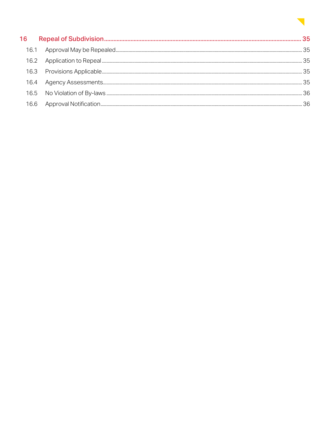### Ō.

| 16   |  |
|------|--|
| 16.1 |  |
| 16.2 |  |
| 16.3 |  |
| 16.4 |  |
|      |  |
|      |  |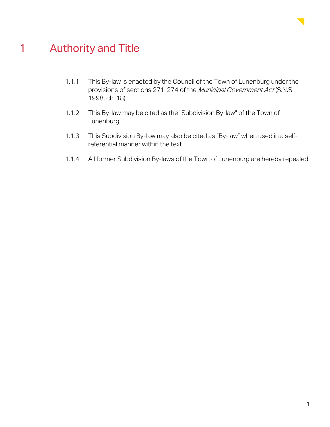

### 1 Authority and Title

- 1.1.1 This By-law is enacted by the Council of the Town of Lunenburg under the provisions of sections 271-274 of the Municipal Government Act (S.N.S. 1998, ch. 18)
- 1.1.2 This By-law may be cited as the "Subdivision By-law" of the Town of Lunenburg.
- 1.1.3 This Subdivision By-law may also be cited as "By-law" when used in a selfreferential manner within the text.
- 1.1.4 All former Subdivision By-laws of the Town of Lunenburg are hereby repealed.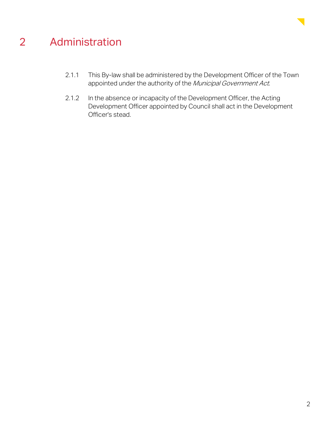

## 2 Administration

- 2.1.1 This By-law shall be administered by the Development Officer of the Town appointed under the authority of the Municipal Government Act.
- 2.1.2 In the absence or incapacity of the Development Officer, the Acting Development Officer appointed by Council shall act in the Development Officer's stead.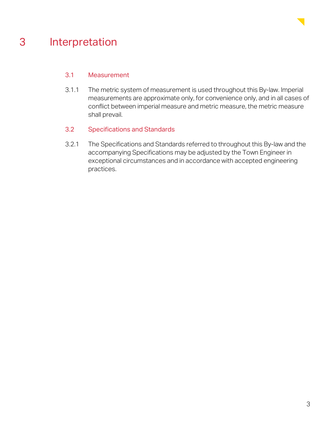

### 3 Interpretation

#### 3.1 Measurement

3.1.1 The metric system of measurement is used throughout this By-law. Imperial measurements are approximate only, for convenience only, and in all cases of conflict between imperial measure and metric measure, the metric measure shall prevail.

#### 3.2 Specifications and Standards

3.2.1 The Specifications and Standards referred to throughout this By-law and the accompanying Specifications may be adjusted by the Town Engineer in exceptional circumstances and in accordance with accepted engineering practices.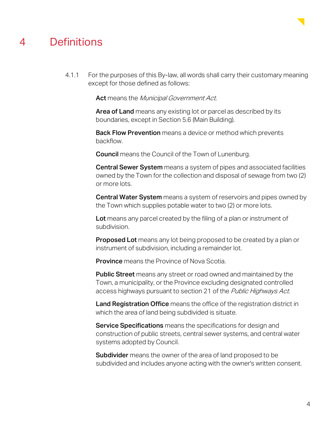

### 4 Definitions

4.1.1 For the purposes of this By-law, all words shall carry their customary meaning except for those defined as follows:

Act means the Municipal Government Act.

Area of Land means any existing lot or parcel as described by its boundaries, except in Section 5.6 (Main Building).

**Back Flow Prevention** means a device or method which prevents backflow.

Council means the Council of the Town of Lunenburg.

Central Sewer System means a system of pipes and associated facilities owned by the Town for the collection and disposal of sewage from two (2) or more lots.

Central Water System means a system of reservoirs and pipes owned by the Town which supplies potable water to two (2) or more lots.

Lot means any parcel created by the filing of a plan or instrument of subdivision.

**Proposed Lot** means any lot being proposed to be created by a plan or instrument of subdivision, including a remainder lot.

**Province** means the Province of Nova Scotia.

Public Street means any street or road owned and maintained by the Town, a municipality, or the Province excluding designated controlled access highways pursuant to section 21 of the Public Highways Act.

Land Registration Office means the office of the registration district in which the area of land being subdivided is situate.

**Service Specifications** means the specifications for design and construction of public streets, central sewer systems, and central water systems adopted by Council.

**Subdivider** means the owner of the area of land proposed to be subdivided and includes anyone acting with the owner's written consent.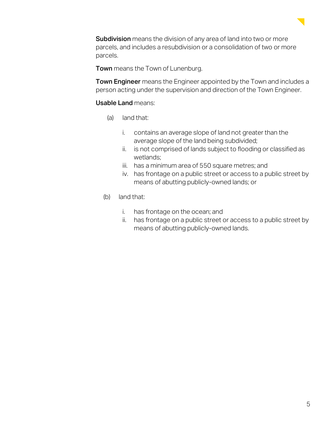

**Subdivision** means the division of any area of land into two or more parcels, and includes a resubdivision or a consolidation of two or more parcels.

Town means the Town of Lunenburg.

**Town Engineer** means the Engineer appointed by the Town and includes a person acting under the supervision and direction of the Town Engineer.

#### Usable Land means:

- (a) land that:
	- i. contains an average slope of land not greater than the average slope of the land being subdivided;
	- ii. is not comprised of lands subject to flooding or classified as wetlands;
	- iii. has a minimum area of 550 square metres; and
	- iv. has frontage on a public street or access to a public street by means of abutting publicly-owned lands; or
- (b) land that:
	- i. has frontage on the ocean; and
	- ii. has frontage on a public street or access to a public street by means of abutting publicly-owned lands.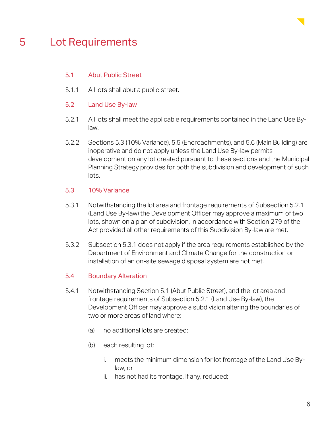

### 5 Lot Requirements

#### 5.1 Abut Public Street

- 5.1.1 All lots shall abut a public street.
- 5.2 Land Use By-law
- 5.2.1 All lots shall meet the applicable requirements contained in the Land Use Bylaw.
- 5.2.2 Sections 5.3 (10% Variance), 5.5 (Encroachments), and 5.6 (Main Building) are inoperative and do not apply unless the Land Use By-law permits development on any lot created pursuant to these sections and the Municipal Planning Strategy provides for both the subdivision and development of such lots.

#### 5.3 10% Variance

- 5.3.1 Notwithstanding the lot area and frontage requirements of Subsection 5.2.1 (Land Use By-law) the Development Officer may approve a maximum of two lots, shown on a plan of subdivision, in accordance with Section 279 of the Act provided all other requirements of this Subdivision By-law are met.
- 5.3.2 Subsection 5.3.1 does not apply if the area requirements established by the Department of Environment and Climate Change for the construction or installation of an on-site sewage disposal system are not met.

#### 5.4 Boundary Alteration

- 5.4.1 Notwithstanding Section 5.1 (Abut Public Street), and the lot area and frontage requirements of Subsection 5.2.1 (Land Use By-law), the Development Officer may approve a subdivision altering the boundaries of two or more areas of land where:
	- (a) no additional lots are created;
	- (b) each resulting lot:
		- i. meets the minimum dimension for lot frontage of the Land Use Bylaw, or
		- ii. has not had its frontage, if any, reduced;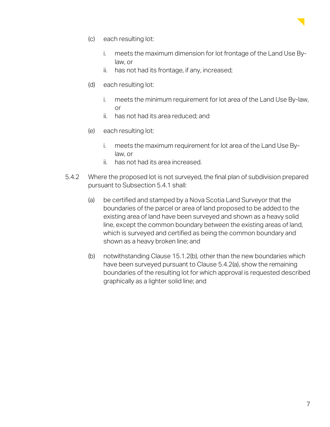

- (c) each resulting lot:
	- i. meets the maximum dimension for lot frontage of the Land Use Bylaw, or
	- ii. has not had its frontage, if any, increased;
- (d) each resulting lot:
	- i. meets the minimum requirement for lot area of the Land Use By-law, or
	- ii. has not had its area reduced; and
- (e) each resulting lot:
	- i. meets the maximum requirement for lot area of the Land Use Bylaw, or
	- ii. has not had its area increased.
- 5.4.2 Where the proposed lot is not surveyed, the final plan of subdivision prepared pursuant to Subsection 5.4.1 shall:
	- (a) be certified and stamped by a Nova Scotia Land Surveyor that the boundaries of the parcel or area of land proposed to be added to the existing area of land have been surveyed and shown as a heavy solid line, except the common boundary between the existing areas of land, which is surveyed and certified as being the common boundary and shown as a heavy broken line; and
	- (b) notwithstanding Clause 15.1.2(b), other than the new boundaries which have been surveyed pursuant to Clause 5.4.2(a), show the remaining boundaries of the resulting lot for which approval is requested described graphically as a lighter solid line; and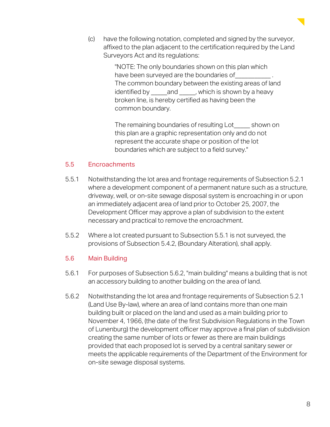(c) have the following notation, completed and signed by the surveyor, affixed to the plan adjacent to the certification required by the Land Surveyors Act and its regulations:

> "NOTE: The only boundaries shown on this plan which have been surveyed are the boundaries of The common boundary between the existing areas of land identified by and , which is shown by a heavy broken line, is hereby certified as having been the common boundary.

> The remaining boundaries of resulting Lot shown on this plan are a graphic representation only and do not represent the accurate shape or position of the lot boundaries which are subject to a field survey."

#### 5.5 Encroachments

- 5.5.1 Notwithstanding the lot area and frontage requirements of Subsection 5.2.1 where a development component of a permanent nature such as a structure, driveway, well, or on-site sewage disposal system is encroaching in or upon an immediately adjacent area of land prior to October 25, 2007, the Development Officer may approve a plan of subdivision to the extent necessary and practical to remove the encroachment.
- 5.5.2 Where a lot created pursuant to Subsection 5.5.1 is not surveyed, the provisions of Subsection 5.4.2, (Boundary Alteration), shall apply.

#### 5.6 Main Building

- 5.6.1 For purposes of Subsection 5.6.2, "main building" means a building that is not an accessory building to another building on the area of land.
- 5.6.2 Notwithstanding the lot area and frontage requirements of Subsection 5.2.1 (Land Use By-law), where an area of land contains more than one main building built or placed on the land and used as a main building prior to November 4, 1966, (the date of the first Subdivision Regulations in the Town of Lunenburg) the development officer may approve a final plan of subdivision creating the same number of lots or fewer as there are main buildings provided that each proposed lot is served by a central sanitary sewer or meets the applicable requirements of the Department of the Environment for on-site sewage disposal systems.

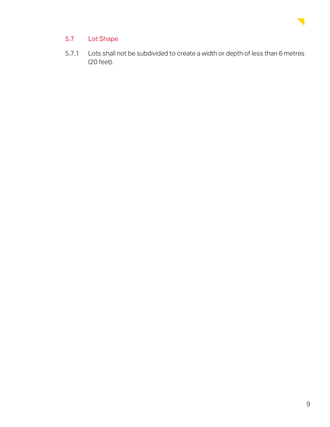

#### 5.7 Lot Shape

5.7.1 Lots shall not be subdivided to create a width or depth of less than 6 metres (20 feet).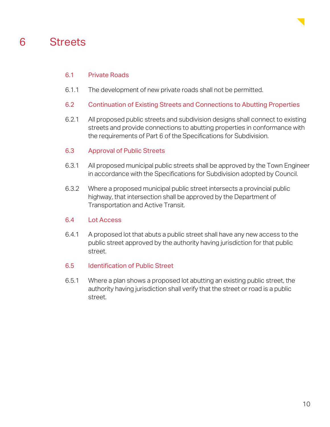



#### 6.1 Private Roads

- 6.1.1 The development of new private roads shall not be permitted.
- 6.2 Continuation of Existing Streets and Connections to Abutting Properties
- 6.2.1 All proposed public streets and subdivision designs shall connect to existing streets and provide connections to abutting properties in conformance with the requirements of Part 6 of the Specifications for Subdivision.

#### 6.3 Approval of Public Streets

- 6.3.1 All proposed municipal public streets shall be approved by the Town Engineer in accordance with the Specifications for Subdivision adopted by Council.
- 6.3.2 Where a proposed municipal public street intersects a provincial public highway, that intersection shall be approved by the Department of Transportation and Active Transit.

#### 6.4 Lot Access

- 6.4.1 A proposed lot that abuts a public street shall have any new access to the public street approved by the authority having jurisdiction for that public street.
- 6.5 Identification of Public Street
- 6.5.1 Where a plan shows a proposed lot abutting an existing public street, the authority having jurisdiction shall verify that the street or road is a public street.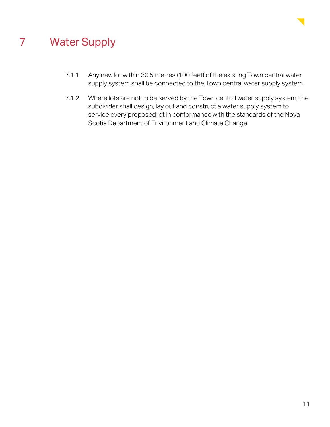

### 7 Water Supply

- 7.1.1 Any new lot within 30.5 metres (100 feet) of the existing Town central water supply system shall be connected to the Town central water supply system.
- 7.1.2 Where lots are not to be served by the Town central water supply system, the subdivider shall design, lay out and construct a water supply system to service every proposed lot in conformance with the standards of the Nova Scotia Department of Environment and Climate Change.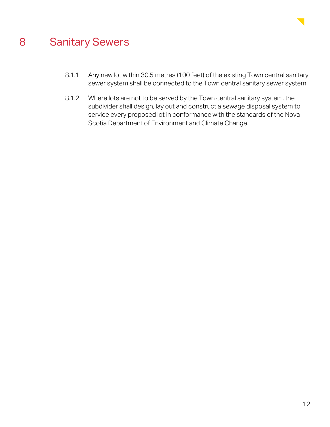

### 8 Sanitary Sewers

- 8.1.1 Any new lot within 30.5 metres (100 feet) of the existing Town central sanitary sewer system shall be connected to the Town central sanitary sewer system.
- 8.1.2 Where lots are not to be served by the Town central sanitary system, the subdivider shall design, lay out and construct a sewage disposal system to service every proposed lot in conformance with the standards of the Nova Scotia Department of Environment and Climate Change.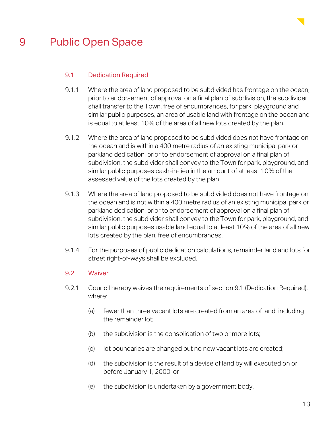

### 9 Public Open Space

#### 9.1 Dedication Required

- 9.1.1 Where the area of land proposed to be subdivided has frontage on the ocean, prior to endorsement of approval on a final plan of subdivision, the subdivider shall transfer to the Town, free of encumbrances, for park, playground and similar public purposes, an area of usable land with frontage on the ocean and is equal to at least 10% of the area of all new lots created by the plan.
- 9.1.2 Where the area of land proposed to be subdivided does not have frontage on the ocean and is within a 400 metre radius of an existing municipal park or parkland dedication, prior to endorsement of approval on a final plan of subdivision, the subdivider shall convey to the Town for park, playground, and similar public purposes cash-in-lieu in the amount of at least 10% of the assessed value of the lots created by the plan.
- 9.1.3 Where the area of land proposed to be subdivided does not have frontage on the ocean and is not within a 400 metre radius of an existing municipal park or parkland dedication, prior to endorsement of approval on a final plan of subdivision, the subdivider shall convey to the Town for park, playground, and similar public purposes usable land equal to at least 10% of the area of all new lots created by the plan, free of encumbrances.
- 9.1.4 For the purposes of public dedication calculations, remainder land and lots for street right-of-ways shall be excluded.

#### 9.2 Waiver

- 9.2.1 Council hereby waives the requirements of section 9.1 (Dedication Required), where:
	- (a) fewer than three vacant lots are created from an area of land, including the remainder lot;
	- (b) the subdivision is the consolidation of two or more lots;
	- (c) lot boundaries are changed but no new vacant lots are created;
	- (d) the subdivision is the result of a devise of land by will executed on or before January 1, 2000; or
	- (e) the subdivision is undertaken by a government body.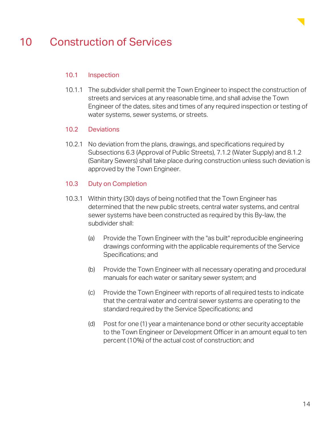

### 10 Construction of Services

#### 10.1 Inspection

10.1.1 The subdivider shall permit the Town Engineer to inspect the construction of streets and services at any reasonable time, and shall advise the Town Engineer of the dates, sites and times of any required inspection or testing of water systems, sewer systems, or streets.

#### 10.2 Deviations

10.2.1 No deviation from the plans, drawings, and specifications required by Subsections 6.3 (Approval of Public Streets), 7.1.2 (Water Supply) and 8.1.2 (Sanitary Sewers) shall take place during construction unless such deviation is approved by the Town Engineer.

#### 10.3 Duty on Completion

- 10.3.1 Within thirty (30) days of being notified that the Town Engineer has determined that the new public streets, central water systems, and central sewer systems have been constructed as required by this By-law, the subdivider shall:
	- (a) Provide the Town Engineer with the "as built" reproducible engineering drawings conforming with the applicable requirements of the Service Specifications; and
	- (b) Provide the Town Engineer with all necessary operating and procedural manuals for each water or sanitary sewer system; and
	- (c) Provide the Town Engineer with reports of all required tests to indicate that the central water and central sewer systems are operating to the standard required by the Service Specifications; and
	- (d) Post for one (1) year a maintenance bond or other security acceptable to the Town Engineer or Development Officer in an amount equal to ten percent (10%) of the actual cost of construction; and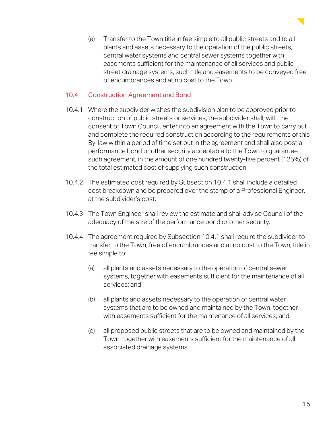(e) Transfer to the Town title in fee simple to all public streets and to all plants and assets necessary to the operation of the public streets, central water systems and central sewer systems together with easements sufficient for the maintenance of all services and public street drainage systems, such title and easements to be conveyed free of encumbrances and at no cost to the Town.

#### 10.4 Construction Agreement and Bond

- 10.4.1 Where the subdivider wishes the subdivision plan to be approved prior to construction of public streets or services, the subdivider shall, with the consent of Town Council, enter into an agreement with the Town to carry out and complete the required construction according to the requirements of this By-law within a period of time set out in the agreement and shall also post a performance bond or other security acceptable to the Town to guarantee such agreement, in the amount of one hundred twenty-five percent (125%) of the total estimated cost of supplying such construction.
- 10.4.2 The estimated cost required by Subsection 10.4.1 shall include a detailed cost breakdown and be prepared over the stamp of a Professional Engineer, at the subdivider's cost.
- 10.4.3 The Town Engineer shall review the estimate and shall advise Council of the adequacy of the size of the performance bond or other security.
- 10.4.4 The agreement required by Subsection 10.4.1 shall require the subdivider to transfer to the Town, free of encumbrances and at no cost to the Town, title in fee simple to:
	- (a) all plants and assets necessary to the operation of central sewer systems, together with easements sufficient for the maintenance of all services; and
	- (b) all plants and assets necessary to the operation of central water systems that are to be owned and maintained by the Town, together with easements sufficient for the maintenance of all services; and
	- (c) all proposed public streets that are to be owned and maintained by the Town, together with easements sufficient for the maintenance of all associated drainage systems.

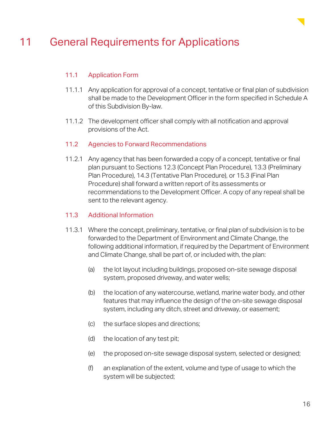

### 11 General Requirements for Applications

#### 11.1 Application Form

- 11.1.1 Any application for approval of a concept, tentative or final plan of subdivision shall be made to the Development Officer in the form specified in Schedule A of this Subdivision By-law.
- 11.1.2 The development officer shall comply with all notification and approval provisions of the Act.
- 11.2 Agencies to Forward Recommendations
- 11.2.1 Any agency that has been forwarded a copy of a concept, tentative or final plan pursuant to Sections 12.3 (Concept Plan Procedure), 13.3 (Preliminary Plan Procedure), 14.3 (Tentative Plan Procedure), or 15.3 (Final Plan Procedure) shall forward a written report of its assessments or recommendations to the Development Officer. A copy of any repeal shall be sent to the relevant agency.

#### 11.3 Additional Information

- 11.3.1 Where the concept, preliminary, tentative, or final plan of subdivision is to be forwarded to the Department of Environment and Climate Change, the following additional information, if required by the Department of Environment and Climate Change, shall be part of, or included with, the plan:
	- (a) the lot layout including buildings, proposed on-site sewage disposal system, proposed driveway, and water wells;
	- (b) the location of any watercourse, wetland, marine water body, and other features that may influence the design of the on-site sewage disposal system, including any ditch, street and driveway, or easement;
	- (c) the surface slopes and directions;
	- (d) the location of any test pit;
	- (e) the proposed on-site sewage disposal system, selected or designed;
	- (f) an explanation of the extent, volume and type of usage to which the system will be subjected;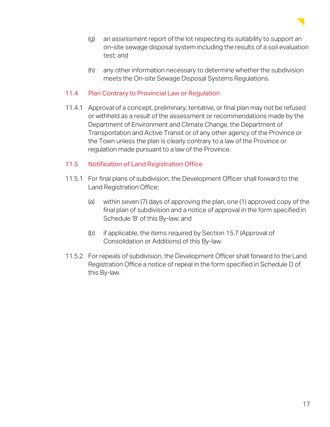

- (g) an assessment report of the lot respecting its suitability to support an on-site sewage disposal system including the results of a soil evaluation test; and
- (h) any other information necessary to determine whether the subdivision meets the On-site Sewage Disposal Systems Regulations.

#### 11.4 Plan Contrary to Provincial Law or Regulation

11.4.1 Approval of a concept, preliminary, tentative, or final plan may not be refused or withheld as a result of the assessment or recommendations made by the Department of Environment and Climate Change, the Department of Transportation and Active Transit or of any other agency of the Province or the Town unless the plan is clearly contrary to a law of the Province or regulation made pursuant to a law of the Province.

#### 11.5 Notification of Land Registration Office

- 11.5.1 For final plans of subdivision, the Development Officer shall forward to the Land Registration Office:
	- (a) within seven (7) days of approving the plan, one (1) approved copy of the final plan of subdivision and a notice of approval in the form specified in Schedule 'B' of this By-law; and
	- (b) if applicable, the items required by Section 15.7 (Approval of Consolidation or Additions) of this By-law.
- 11.5.2 For repeals of subdivision, the Development Officer shall forward to the Land Registration Office a notice of repeal in the form specified in Schedule D of this By-law.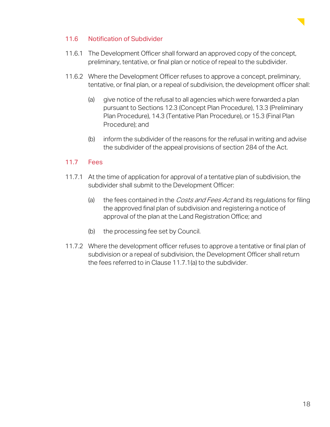

#### 11.6 Notification of Subdivider

- 11.6.1 The Development Officer shall forward an approved copy of the concept, preliminary, tentative, or final plan or notice of repeal to the subdivider.
- 11.6.2 Where the Development Officer refuses to approve a concept, preliminary, tentative, or final plan, or a repeal of subdivision, the development officer shall:
	- (a) give notice of the refusal to all agencies which were forwarded a plan pursuant to Sections 12.3 (Concept Plan Procedure), 13.3 (Preliminary Plan Procedure), 14.3 (Tentative Plan Procedure), or 15.3 (Final Plan Procedure); and
	- (b) inform the subdivider of the reasons for the refusal in writing and advise the subdivider of the appeal provisions of section 284 of the Act.

#### 11.7 Fees

- 11.7.1 At the time of application for approval of a tentative plan of subdivision, the subdivider shall submit to the Development Officer:
	- (a) the fees contained in the *Costs and Fees Act* and its regulations for filing the approved final plan of subdivision and registering a notice of approval of the plan at the Land Registration Office; and
	- (b) the processing fee set by Council.
- 11.7.2 Where the development officer refuses to approve a tentative or final plan of subdivision or a repeal of subdivision, the Development Officer shall return the fees referred to in Clause 11.7.1(a) to the subdivider.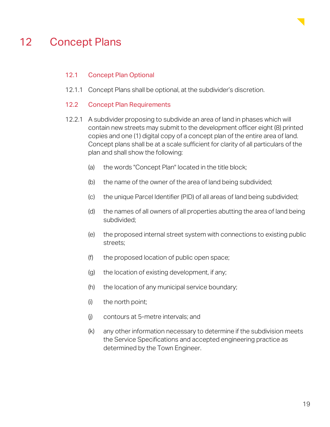

### 12 Concept Plans

#### 12.1 Concept Plan Optional

12.1.1 Concept Plans shall be optional, at the subdivider's discretion.

#### 12.2 Concept Plan Requirements

- 12.2.1 A subdivider proposing to subdivide an area of land in phases which will contain new streets may submit to the development officer eight (8) printed copies and one (1) digital copy of a concept plan of the entire area of land. Concept plans shall be at a scale sufficient for clarity of all particulars of the plan and shall show the following:
	- (a) the words "Concept Plan" located in the title block;
	- (b) the name of the owner of the area of land being subdivided;
	- (c) the unique Parcel Identifier (PID) of all areas of land being subdivided;
	- (d) the names of all owners of all properties abutting the area of land being subdivided;
	- (e) the proposed internal street system with connections to existing public streets;
	- (f) the proposed location of public open space;
	- (g) the location of existing development, if any;
	- (h) the location of any municipal service boundary;
	- (i) the north point;
	- (j) contours at 5-metre intervals; and
	- (k) any other information necessary to determine if the subdivision meets the Service Specifications and accepted engineering practice as determined by the Town Engineer.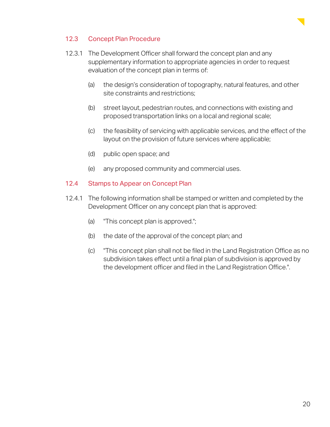

#### 12.3 Concept Plan Procedure

- 12.3.1 The Development Officer shall forward the concept plan and any supplementary information to appropriate agencies in order to request evaluation of the concept plan in terms of:
	- (a) the design's consideration of topography, natural features, and other site constraints and restrictions;
	- (b) street layout, pedestrian routes, and connections with existing and proposed transportation links on a local and regional scale;
	- (c) the feasibility of servicing with applicable services, and the effect of the layout on the provision of future services where applicable;
	- (d) public open space; and
	- (e) any proposed community and commercial uses.

#### 12.4 Stamps to Appear on Concept Plan

- 12.4.1 The following information shall be stamped or written and completed by the Development Officer on any concept plan that is approved:
	- (a) "This concept plan is approved.";
	- (b) the date of the approval of the concept plan; and
	- (c) "This concept plan shall not be filed in the Land Registration Office as no subdivision takes effect until a final plan of subdivision is approved by the development officer and filed in the Land Registration Office.".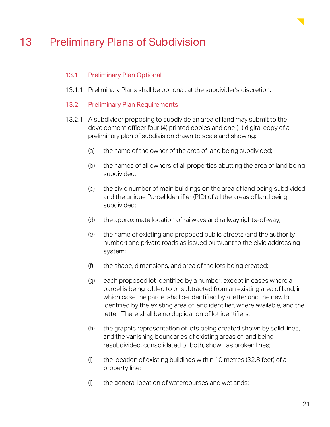

### 13 Preliminary Plans of Subdivision

#### 13.1 Preliminary Plan Optional

- 13.1.1 Preliminary Plans shall be optional, at the subdivider's discretion.
- 13.2 Preliminary Plan Requirements
- 13.2.1 A subdivider proposing to subdivide an area of land may submit to the development officer four (4) printed copies and one (1) digital copy of a preliminary plan of subdivision drawn to scale and showing:
	- (a) the name of the owner of the area of land being subdivided;
	- (b) the names of all owners of all properties abutting the area of land being subdivided;
	- (c) the civic number of main buildings on the area of land being subdivided and the unique Parcel Identifier (PID) of all the areas of land being subdivided;
	- (d) the approximate location of railways and railway rights-of-way;
	- (e) the name of existing and proposed public streets (and the authority number) and private roads as issued pursuant to the civic addressing system;
	- (f) the shape, dimensions, and area of the lots being created;
	- (g) each proposed lot identified by a number, except in cases where a parcel is being added to or subtracted from an existing area of land, in which case the parcel shall be identified by a letter and the new lot identified by the existing area of land identifier, where available, and the letter. There shall be no duplication of lot identifiers;
	- (h) the graphic representation of lots being created shown by solid lines, and the vanishing boundaries of existing areas of land being resubdivided, consolidated or both, shown as broken lines;
	- (i) the location of existing buildings within 10 metres (32.8 feet) of a property line;
	- (j) the general location of watercourses and wetlands;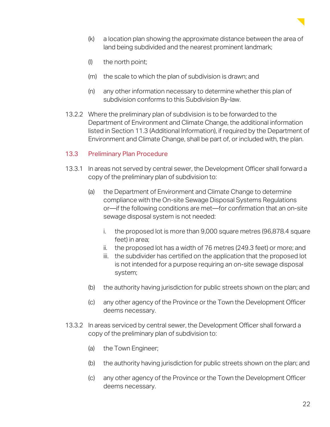

- (k) a location plan showing the approximate distance between the area of land being subdivided and the nearest prominent landmark;
- (l) the north point;
- (m) the scale to which the plan of subdivision is drawn; and
- (n) any other information necessary to determine whether this plan of subdivision conforms to this Subdivision By-law.
- 13.2.2 Where the preliminary plan of subdivision is to be forwarded to the Department of Environment and Climate Change, the additional information listed in Section 11.3 (Additional Information), if required by the Department of Environment and Climate Change, shall be part of, or included with, the plan.

#### 13.3 Preliminary Plan Procedure

- 13.3.1 In areas not served by central sewer, the Development Officer shall forward a copy of the preliminary plan of subdivision to:
	- (a) the Department of Environment and Climate Change to determine compliance with the On-site Sewage Disposal Systems Regulations or—if the following conditions are met—for confirmation that an on-site sewage disposal system is not needed:
		- i. the proposed lot is more than 9,000 square metres (96,878.4 square feet) in area;
		- ii. the proposed lot has a width of 76 metres (249.3 feet) or more; and
		- iii. the subdivider has certified on the application that the proposed lot is not intended for a purpose requiring an on-site sewage disposal system;
	- (b) the authority having jurisdiction for public streets shown on the plan; and
	- (c) any other agency of the Province or the Town the Development Officer deems necessary.
- 13.3.2 In areas serviced by central sewer, the Development Officer shall forward a copy of the preliminary plan of subdivision to:
	- (a) the Town Engineer;
	- (b) the authority having jurisdiction for public streets shown on the plan; and
	- (c) any other agency of the Province or the Town the Development Officer deems necessary.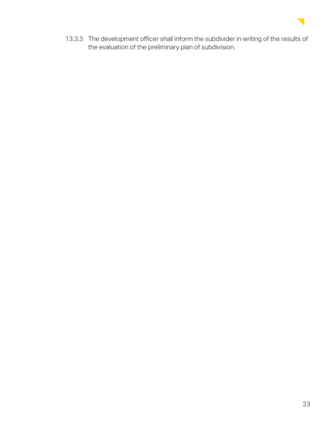

13.3.3 The development officer shall inform the subdivider in writing of the results of the evaluation of the preliminary plan of subdivision.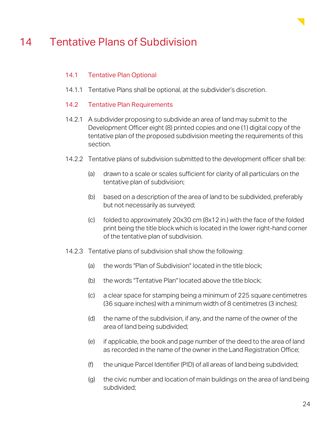

### 14 Tentative Plans of Subdivision

#### 14.1 Tentative Plan Optional

- 14.1.1 Tentative Plans shall be optional, at the subdivider's discretion.
- 14.2 Tentative Plan Requirements
- 14.2.1 A subdivider proposing to subdivide an area of land may submit to the Development Officer eight (8) printed copies and one (1) digital copy of the tentative plan of the proposed subdivision meeting the requirements of this section.
- 14.2.2 Tentative plans of subdivision submitted to the development officer shall be:
	- (a) drawn to a scale or scales sufficient for clarity of all particulars on the tentative plan of subdivision;
	- (b) based on a description of the area of land to be subdivided, preferably but not necessarily as surveyed;
	- (c) folded to approximately 20x30 cm (8x12 in.) with the face of the folded print being the title block which is located in the lower right-hand corner of the tentative plan of subdivision.
- 14.2.3 Tentative plans of subdivision shall show the following:
	- (a) the words "Plan of Subdivision" located in the title block;
	- (b) the words "Tentative Plan" located above the title block;
	- (c) a clear space for stamping being a minimum of 225 square centimetres (36 square inches) with a minimum width of 8 centimetres (3 inches);
	- (d) the name of the subdivision, if any, and the name of the owner of the area of land being subdivided;
	- (e) if applicable, the book and page number of the deed to the area of land as recorded in the name of the owner in the Land Registration Office;
	- (f) the unique Parcel Identifier (PID) of all areas of land being subdivided;
	- (g) the civic number and location of main buildings on the area of land being subdivided;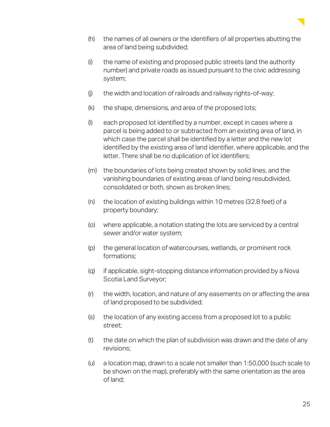

- (h) the names of all owners or the identifiers of all properties abutting the area of land being subdivided;
- (i) the name of existing and proposed public streets (and the authority number) and private roads as issued pursuant to the civic addressing system;
- (j) the width and location of railroads and railway rights-of-way;
- (k) the shape, dimensions, and area of the proposed lots;
- (l) each proposed lot identified by a number, except in cases where a parcel is being added to or subtracted from an existing area of land, in which case the parcel shall be identified by a letter and the new lot identified by the existing area of land identifier, where applicable, and the letter. There shall be no duplication of lot identifiers;
- (m) the boundaries of lots being created shown by solid lines, and the vanishing boundaries of existing areas of land being resubdivided, consolidated or both, shown as broken lines;
- (n) the location of existing buildings within 10 metres (32.8 feet) of a property boundary;
- (o) where applicable, a notation stating the lots are serviced by a central sewer and/or water system;
- (p) the general location of watercourses, wetlands, or prominent rock formations;
- (q) if applicable, sight-stopping distance information provided by a Nova Scotia Land Surveyor;
- (r) the width, location, and nature of any easements on or affecting the area of land proposed to be subdivided;
- (s) the location of any existing access from a proposed lot to a public street;
- (t) the date on which the plan of subdivision was drawn and the date of any revisions;
- (u) a location map, drawn to a scale not smaller than 1:50,000 (such scale to be shown on the map), preferably with the same orientation as the area of land;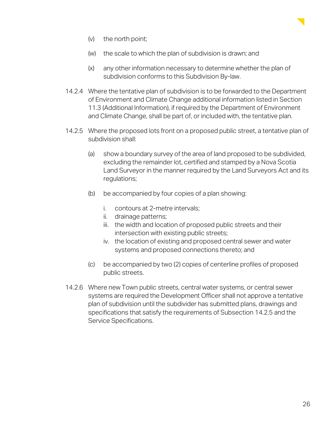

- (v) the north point;
- (w) the scale to which the plan of subdivision is drawn; and
- (x) any other information necessary to determine whether the plan of subdivision conforms to this Subdivision By-law.
- 14.2.4 Where the tentative plan of subdivision is to be forwarded to the Department of Environment and Climate Change additional information listed in Section 11.3 (Additional Information), if required by the Department of Environment and Climate Change, shall be part of, or included with, the tentative plan.
- 14.2.5 Where the proposed lots front on a proposed public street, a tentative plan of subdivision shall:
	- (a) show a boundary survey of the area of land proposed to be subdivided, excluding the remainder lot, certified and stamped by a Nova Scotia Land Surveyor in the manner required by the Land Surveyors Act and its regulations;
	- (b) be accompanied by four copies of a plan showing:
		- i. contours at 2-metre intervals;
		- ii. drainage patterns;
		- iii. the width and location of proposed public streets and their intersection with existing public streets;
		- iv. the location of existing and proposed central sewer and water systems and proposed connections thereto; and
	- (c) be accompanied by two (2) copies of centerline profiles of proposed public streets.
- 14.2.6 Where new Town public streets, central water systems, or central sewer systems are required the Development Officer shall not approve a tentative plan of subdivision until the subdivider has submitted plans, drawings and specifications that satisfy the requirements of Subsection 14.2.5 and the Service Specifications.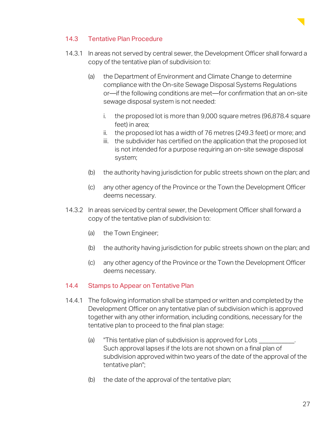

#### 14.3 Tentative Plan Procedure

- 14.3.1 In areas not served by central sewer, the Development Officer shall forward a copy of the tentative plan of subdivision to:
	- (a) the Department of Environment and Climate Change to determine compliance with the On-site Sewage Disposal Systems Regulations or—if the following conditions are met—for confirmation that an on-site sewage disposal system is not needed:
		- i. the proposed lot is more than 9,000 square metres (96,878.4 square feet) in area;
		- ii. the proposed lot has a width of 76 metres (249.3 feet) or more; and
		- iii. the subdivider has certified on the application that the proposed lot is not intended for a purpose requiring an on-site sewage disposal system;
	- (b) the authority having jurisdiction for public streets shown on the plan; and
	- (c) any other agency of the Province or the Town the Development Officer deems necessary.
- 14.3.2 In areas serviced by central sewer, the Development Officer shall forward a copy of the tentative plan of subdivision to:
	- (a) the Town Engineer;
	- (b) the authority having jurisdiction for public streets shown on the plan; and
	- (c) any other agency of the Province or the Town the Development Officer deems necessary.

#### 14.4 Stamps to Appear on Tentative Plan

- 14.4.1 The following information shall be stamped or written and completed by the Development Officer on any tentative plan of subdivision which is approved together with any other information, including conditions, necessary for the tentative plan to proceed to the final plan stage:
	- (a) This tentative plan of subdivision is approved for Lots Such approval lapses if the lots are not shown on a final plan of subdivision approved within two years of the date of the approval of the tentative plan";
	- (b) the date of the approval of the tentative plan;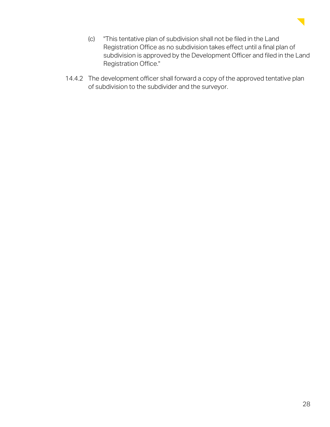

- (c) "This tentative plan of subdivision shall not be filed in the Land Registration Office as no subdivision takes effect until a final plan of subdivision is approved by the Development Officer and filed in the Land Registration Office."
- 14.4.2 The development officer shall forward a copy of the approved tentative plan of subdivision to the subdivider and the surveyor.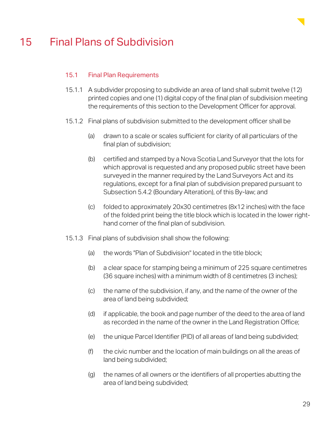

### 15 Final Plans of Subdivision

#### 15.1 Final Plan Requirements

- 15.1.1 A subdivider proposing to subdivide an area of land shall submit twelve (12) printed copies and one (1) digital copy of the final plan of subdivision meeting the requirements of this section to the Development Officer for approval.
- 15.1.2 Final plans of subdivision submitted to the development officer shall be
	- (a) drawn to a scale or scales sufficient for clarity of all particulars of the final plan of subdivision;
	- (b) certified and stamped by a Nova Scotia Land Surveyor that the lots for which approval is requested and any proposed public street have been surveyed in the manner required by the Land Surveyors Act and its regulations, except for a final plan of subdivision prepared pursuant to Subsection 5.4.2 (Boundary Alteration), of this By-law; and
	- (c) folded to approximately 20x30 centimetres (8x12 inches) with the face of the folded print being the title block which is located in the lower righthand corner of the final plan of subdivision.
- 15.1.3 Final plans of subdivision shall show the following:
	- (a) the words "Plan of Subdivision" located in the title block;
	- (b) a clear space for stamping being a minimum of 225 square centimetres (36 square inches) with a minimum width of 8 centimetres (3 inches);
	- (c) the name of the subdivision, if any, and the name of the owner of the area of land being subdivided;
	- (d) if applicable, the book and page number of the deed to the area of land as recorded in the name of the owner in the Land Registration Office;
	- (e) the unique Parcel Identifier (PID) of all areas of land being subdivided;
	- (f) the civic number and the location of main buildings on all the areas of land being subdivided;
	- (g) the names of all owners or the identifiers of all properties abutting the area of land being subdivided;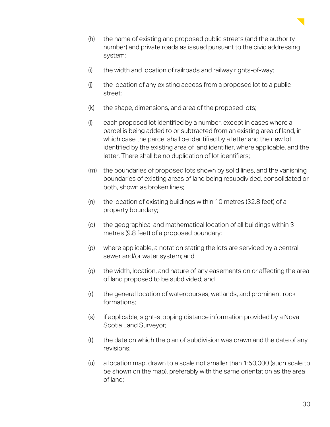

- (h) the name of existing and proposed public streets (and the authority number) and private roads as issued pursuant to the civic addressing system;
- (i) the width and location of railroads and railway rights-of-way;
- (j) the location of any existing access from a proposed lot to a public street;
- (k) the shape, dimensions, and area of the proposed lots;
- (l) each proposed lot identified by a number, except in cases where a parcel is being added to or subtracted from an existing area of land, in which case the parcel shall be identified by a letter and the new lot identified by the existing area of land identifier, where applicable, and the letter. There shall be no duplication of lot identifiers;
- (m) the boundaries of proposed lots shown by solid lines, and the vanishing boundaries of existing areas of land being resubdivided, consolidated or both, shown as broken lines;
- (n) the location of existing buildings within 10 metres (32.8 feet) of a property boundary;
- (o) the geographical and mathematical location of all buildings within 3 metres (9.8 feet) of a proposed boundary;
- (p) where applicable, a notation stating the lots are serviced by a central sewer and/or water system; and
- (q) the width, location, and nature of any easements on or affecting the area of land proposed to be subdivided; and
- (r) the general location of watercourses, wetlands, and prominent rock formations;
- (s) if applicable, sight-stopping distance information provided by a Nova Scotia Land Surveyor;
- (t) the date on which the plan of subdivision was drawn and the date of any revisions;
- (u) a location map, drawn to a scale not smaller than 1:50,000 (such scale to be shown on the map), preferably with the same orientation as the area of land;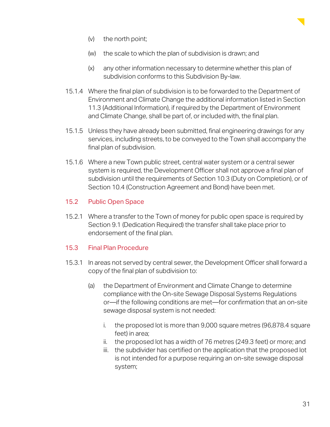

- (v) the north point;
- (w) the scale to which the plan of subdivision is drawn; and
- (x) any other information necessary to determine whether this plan of subdivision conforms to this Subdivision By-law.
- 15.1.4 Where the final plan of subdivision is to be forwarded to the Department of Environment and Climate Change the additional information listed in Section 11.3 (Additional Information), if required by the Department of Environment and Climate Change, shall be part of, or included with, the final plan.
- 15.1.5 Unless they have already been submitted, final engineering drawings for any services, including streets, to be conveyed to the Town shall accompany the final plan of subdivision.
- 15.1.6 Where a new Town public street, central water system or a central sewer system is required, the Development Officer shall not approve a final plan of subdivision until the requirements of Section 10.3 (Duty on Completion), or of Section 10.4 (Construction Agreement and Bond) have been met.

#### 15.2 Public Open Space

15.2.1 Where a transfer to the Town of money for public open space is required by Section 9.1 (Dedication Required) the transfer shall take place prior to endorsement of the final plan.

#### 15.3 Final Plan Procedure

- 15.3.1 In areas not served by central sewer, the Development Officer shall forward a copy of the final plan of subdivision to:
	- (a) the Department of Environment and Climate Change to determine compliance with the On-site Sewage Disposal Systems Regulations or—if the following conditions are met—for confirmation that an on-site sewage disposal system is not needed:
		- i. the proposed lot is more than 9,000 square metres (96,878.4 square feet) in area;
		- ii. the proposed lot has a width of 76 metres (249.3 feet) or more; and
		- iii. the subdivider has certified on the application that the proposed lot is not intended for a purpose requiring an on-site sewage disposal system;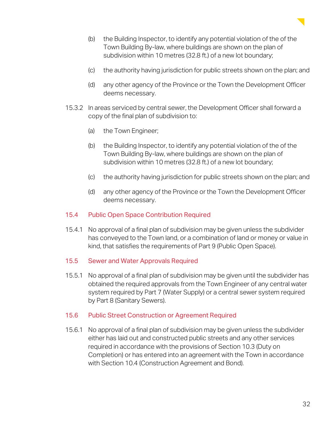

- (b) the Building Inspector, to identify any potential violation of the of the Town Building By-law, where buildings are shown on the plan of subdivision within 10 metres (32.8 ft.) of a new lot boundary;
- (c) the authority having jurisdiction for public streets shown on the plan; and
- (d) any other agency of the Province or the Town the Development Officer deems necessary.
- 15.3.2 In areas serviced by central sewer, the Development Officer shall forward a copy of the final plan of subdivision to:
	- (a) the Town Engineer;
	- (b) the Building Inspector, to identify any potential violation of the of the Town Building By-law, where buildings are shown on the plan of subdivision within 10 metres (32.8 ft.) of a new lot boundary;
	- (c) the authority having jurisdiction for public streets shown on the plan; and
	- (d) any other agency of the Province or the Town the Development Officer deems necessary.

#### 15.4 Public Open Space Contribution Required

15.4.1 No approval of a final plan of subdivision may be given unless the subdivider has conveyed to the Town land, or a combination of land or money or value in kind, that satisfies the requirements of Part 9 (Public Open Space).

#### 15.5 Sewer and Water Approvals Required

15.5.1 No approval of a final plan of subdivision may be given until the subdivider has obtained the required approvals from the Town Engineer of any central water system required by Part 7 (Water Supply) or a central sewer system required by Part 8 (Sanitary Sewers).

#### 15.6 Public Street Construction or Agreement Required

15.6.1 No approval of a final plan of subdivision may be given unless the subdivider either has laid out and constructed public streets and any other services required in accordance with the provisions of Section 10.3 (Duty on Completion) or has entered into an agreement with the Town in accordance with Section 10.4 (Construction Agreement and Bond).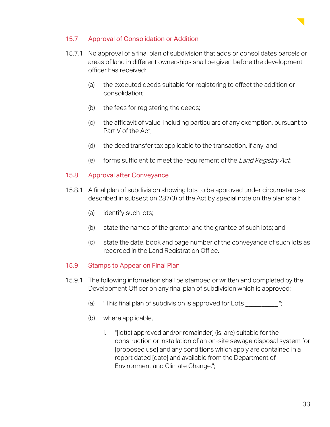

#### 15.7 Approval of Consolidation or Addition

- 15.7.1 No approval of a final plan of subdivision that adds or consolidates parcels or areas of land in different ownerships shall be given before the development officer has received:
	- (a) the executed deeds suitable for registering to effect the addition or consolidation;
	- (b) the fees for registering the deeds;
	- (c) the affidavit of value, including particulars of any exemption, pursuant to Part V of the Act;
	- (d) the deed transfer tax applicable to the transaction, if any; and
	- (e) forms sufficient to meet the requirement of the Land Registry Act.

#### 15.8 Approval after Conveyance

- 15.8.1 A final plan of subdivision showing lots to be approved under circumstances described in subsection 287(3) of the Act by special note on the plan shall:
	- (a) identify such lots;
	- (b) state the names of the grantor and the grantee of such lots; and
	- (c) state the date, book and page number of the conveyance of such lots as recorded in the Land Registration Office.

#### 15.9 Stamps to Appear on Final Plan

- 15.9.1 The following information shall be stamped or written and completed by the Development Officer on any final plan of subdivision which is approved:
	- (a) "This final plan of subdivision is approved for Lots \_\_\_\_\_\_\_\_\_\_ ";
	- (b) where applicable,
		- i. "[lot(s) approved and/or remainder] (is, are) suitable for the construction or installation of an on-site sewage disposal system for [proposed use] and any conditions which apply are contained in a report dated [date] and available from the Department of Environment and Climate Change.";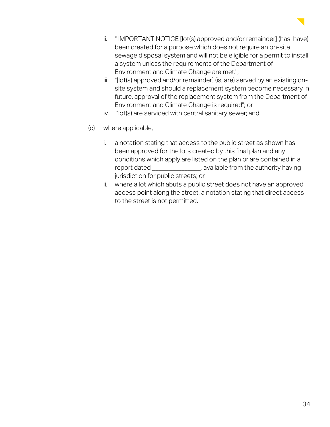

- ii. " IMPORTANT NOTICE [lot(s) approved and/or remainder] (has, have) been created for a purpose which does not require an on-site sewage disposal system and will not be eligible for a permit to install a system unless the requirements of the Department of Environment and Climate Change are met.";
- iii. "[lot(s) approved and/or remainder] (is, are) served by an existing onsite system and should a replacement system become necessary in future, approval of the replacement system from the Department of Environment and Climate Change is required"; or
- iv. "lot(s) are serviced with central sanitary sewer; and
- (c) where applicable,
	- i. a notation stating that access to the public street as shown has been approved for the lots created by this final plan and any conditions which apply are listed on the plan or are contained in a report dated \_\_\_\_\_\_\_\_\_\_\_\_\_\_\_, available from the authority having jurisdiction for public streets; or
	- ii. where a lot which abuts a public street does not have an approved access point along the street, a notation stating that direct access to the street is not permitted.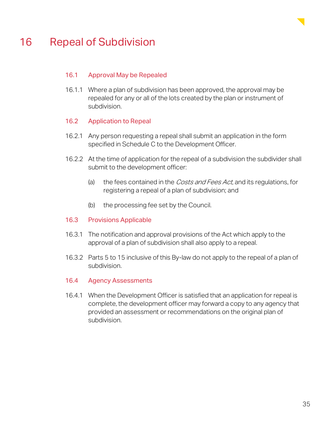

### 16 Repeal of Subdivision

#### 16.1 Approval May be Repealed

16.1.1 Where a plan of subdivision has been approved, the approval may be repealed for any or all of the lots created by the plan or instrument of subdivision.

#### 16.2 Application to Repeal

- 16.2.1 Any person requesting a repeal shall submit an application in the form specified in Schedule C to the Development Officer.
- 16.2.2 At the time of application for the repeal of a subdivision the subdivider shall submit to the development officer:
	- (a) the fees contained in the *Costs and Fees Act*, and its regulations, for registering a repeal of a plan of subdivision; and
	- (b) the processing fee set by the Council.

#### 16.3 Provisions Applicable

- 16.3.1 The notification and approval provisions of the Act which apply to the approval of a plan of subdivision shall also apply to a repeal.
- 16.3.2 Parts 5 to 15 inclusive of this By-law do not apply to the repeal of a plan of subdivision.

#### 16.4 Agency Assessments

16.4.1 When the Development Officer is satisfied that an application for repeal is complete, the development officer may forward a copy to any agency that provided an assessment or recommendations on the original plan of subdivision.